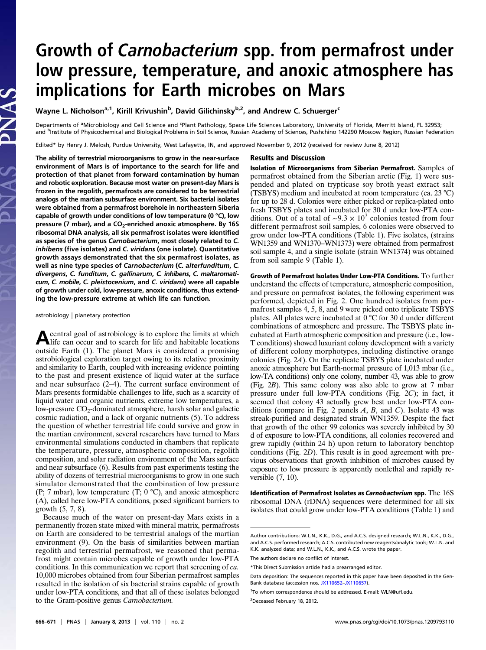# Growth of Carnobacterium spp. from permafrost under low pressure, temperature, and anoxic atmosphere has implications for Earth microbes on Mars

Wayne L. Nicholson<sup>a, 1</sup>, Kirill Krivushin<sup>b</sup>, David Gilichinsky<sup>b,2</sup>, and Andrew C. Schuerger<sup>c</sup>

Departments of <sup>a</sup>Microbiology and Cell Science and <sup>c</sup>Plant Pathology, Space Life Sciences Laboratory, University of Florida, Merritt Island, FL 32953; and <sup>b</sup>Institute of Physicochemical and Biological Problems in Soil Science, Russian Academy of Sciences, Pushchino 142290 Moscow Region, Russian Federation

Edited\* by Henry J. Melosh, Purdue University, West Lafayette, IN, and approved November 9, 2012 (received for review June 8, 2012)

The ability of terrestrial microorganisms to grow in the near-surface environment of Mars is of importance to the search for life and protection of that planet from forward contamination by human and robotic exploration. Because most water on present-day Mars is frozen in the regolith, permafrosts are considered to be terrestrial analogs of the martian subsurface environment. Six bacterial isolates were obtained from a permafrost borehole in northeastern Siberia capable of growth under conditions of low temperature (0 °C), low pressure (7 mbar), and a CO<sub>2</sub>-enriched anoxic atmosphere. By 16S ribosomal DNA analysis, all six permafrost isolates were identified as species of the genus Carnobacterium, most closely related to C. inhibens (five isolates) and C. viridans (one isolate). Quantitative growth assays demonstrated that the six permafrost isolates, as well as nine type species of Carnobacterium (C. alterfunditum, C. divergens, C. funditum, C. gallinarum, C. inhibens, C. maltaromaticum, C. mobile, C. pleistocenium, and C. viridans) were all capable of growth under cold, low-pressure, anoxic conditions, thus extending the low-pressure extreme at which life can function.

#### astrobiology | planetary protection

Acentral goal of astrobiology is to explore the limits at which life can occur and to search for life and habitable locations outside Earth (1). The planet Mars is considered a promising astrobiological exploration target owing to its relative proximity and similarity to Earth, coupled with increasing evidence pointing to the past and present existence of liquid water at the surface and near subsurface (2–4). The current surface environment of Mars presents formidable challenges to life, such as a scarcity of liquid water and organic nutrients, extreme low temperatures, a low-pressure  $CO<sub>2</sub>$ -dominated atmosphere, harsh solar and galactic cosmic radiation, and a lack of organic nutrients (5). To address the question of whether terrestrial life could survive and grow in the martian environment, several researchers have turned to Mars environmental simulations conducted in chambers that replicate the temperature, pressure, atmospheric composition, regolith composition, and solar radiation environment of the Mars surface and near subsurface (6). Results from past experiments testing the ability of dozens of terrestrial microorganisms to grow in one such simulator demonstrated that the combination of low pressure (P; 7 mbar), low temperature  $(T; 0^{\circ}C)$ , and anoxic atmosphere (A), called here low-PTA conditions, posed significant barriers to growth (5, 7, 8).

Because much of the water on present-day Mars exists in a permanently frozen state mixed with mineral matrix, permafrosts on Earth are considered to be terrestrial analogs of the martian environment (9). On the basis of similarities between martian regolith and terrestrial permafrost, we reasoned that permafrost might contain microbes capable of growth under low-PTA conditions. In this communication we report that screening of ca. 10,000 microbes obtained from four Siberian permafrost samples resulted in the isolation of six bacterial strains capable of growth under low-PTA conditions, and that all of these isolates belonged to the Gram-positive genus Carnobacterium.

### Results and Discussion

Isolation of Microorganisms from Siberian Permafrost. Samples of permafrost obtained from the Siberian arctic (Fig. 1) were suspended and plated on trypticase soy broth yeast extract salt (TSBYS) medium and incubated at room temperature (ca. 23 °C) for up to 28 d. Colonies were either picked or replica-plated onto fresh TSBYS plates and incubated for 30 d under low-PTA conditions. Out of a total of ~9.3  $\times$  10<sup>3</sup> colonies tested from four different permafrost soil samples, 6 colonies were observed to grow under low-PTA conditions (Table 1). Five isolates, (strains WN1359 and WN1370–WN1373) were obtained from permafrost soil sample 4, and a single isolate (strain WN1374) was obtained from soil sample 9 (Table 1).

Growth of Permafrost Isolates Under Low-PTA Conditions. To further understand the effects of temperature, atmospheric composition, and pressure on permafrost isolates, the following experiment was performed, depicted in Fig. 2. One hundred isolates from permafrost samples 4, 5, 8, and 9 were picked onto triplicate TSBYS plates. All plates were incubated at 0 °C for 30 d under different combinations of atmosphere and pressure. The TSBYS plate incubated at Earth atmospheric composition and pressure (i.e., low-T conditions) showed luxuriant colony development with a variety of different colony morphotypes, including distinctive orange colonies (Fig. 2A). On the replicate TSBYS plate incubated under anoxic atmosphere but Earth-normal pressure of 1,013 mbar (i.e., low-TA conditions) only one colony, number 43, was able to grow (Fig. 2B). This same colony was also able to grow at 7 mbar pressure under full low-PTA conditions (Fig. 2C); in fact, it seemed that colony 43 actually grew best under low-PTA conditions (compare in Fig. 2 panels  $A$ ,  $B$ , and  $C$ ). Isolate 43 was streak-purified and designated strain WN1359. Despite the fact that growth of the other 99 colonies was severely inhibited by 30 d of exposure to low-PTA conditions, all colonies recovered and grew rapidly (within 24 h) upon return to laboratory benchtop conditions (Fig. 2D). This result is in good agreement with previous observations that growth inhibition of microbes caused by exposure to low pressure is apparently nonlethal and rapidly reversible (7, 10).

Identification of Permafrost Isolates as Carnobacterium spp. The 16S ribosomal DNA (rDNA) sequences were determined for all six isolates that could grow under low-PTA conditions (Table 1) and

Author contributions: W.L.N., K.K., D.G., and A.C.S. designed research; W.L.N., K.K., D.G., and A.C.S. performed research; A.C.S. contributed new reagents/analytic tools; W.L.N. and K.K. analyzed data; and W.L.N., K.K., and A.C.S. wrote the paper.

The authors declare no conflict of interest.

<sup>\*</sup>This Direct Submission article had a prearranged editor.

Data deposition: The sequences reported in this paper have been deposited in the Gen-Bank database (accession nos. [JX110652](http://www.ncbi.nlm.nih.gov/nucleotide/JX110652)–[JX110657](http://www.ncbi.nlm.nih.gov/nucleotide/JX110657)).

<sup>&</sup>lt;sup>1</sup>To whom correspondence should be addressed. E-mail: [WLN@u](mailto:WLN@ufl.edu)fl.edu.

<sup>&</sup>lt;sup>2</sup>Deceased February 18, 2012.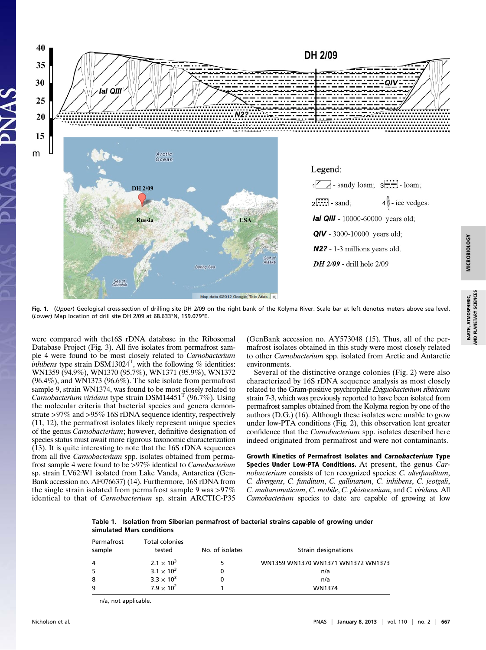

Fig. 1. (Upper) Geological cross-section of drilling site DH 2/09 on the right bank of the Kolyma River. Scale bar at left denotes meters above sea level. (Lower) Map location of drill site DH 2/09 at 68.633°N, 159.079°E.

were compared with the16S rDNA database in the Ribosomal Database Project (Fig. 3). All five isolates from permafrost sample 4 were found to be most closely related to Carnobacterium *inhibens* type strain DSM13024<sup>T</sup>, with the following % identities: WN1359 (94.9%), WN1370 (95.7%), WN1371 (95.9%), WN1372 (96.4%), and WN1373 (96.6%). The sole isolate from permafrost sample 9, strain WN1374, was found to be most closely related to Carnobacterium viridans type strain DSM14451<sup>T</sup> (96.7%). Using the molecular criteria that bacterial species and genera demonstrate >97% and >95% 16S rDNA sequence identity, respectively (11, 12), the permafrost isolates likely represent unique species of the genus Carnobacterium; however, definitive designation of species status must await more rigorous taxonomic characterization (13). It is quite interesting to note that the 16S rDNA sequences from all five *Carnobacterium* spp. isolates obtained from permafrost sample 4 were found to be >97% identical to Carnobacterium sp. strain LV62:W1 isolated from Lake Vanda, Antarctica (Gen-Bank accession no. AF076637) (14). Furthermore, 16S rDNA from the single strain isolated from permafrost sample 9 was >97% identical to that of Carnobacterium sp. strain ARCTIC-P35 (GenBank accession no. AY573048 (15). Thus, all of the permafrost isolates obtained in this study were most closely related to other Carnobacterium spp. isolated from Arctic and Antarctic environments.

Several of the distinctive orange colonies (Fig. 2) were also characterized by 16S rDNA sequence analysis as most closely related to the Gram-positive psychrophile Exiguobacterium sibiricum strain 7-3, which was previously reported to have been isolated from permafrost samples obtained from the Kolyma region by one of the authors (D.G.) (16). Although these isolates were unable to grow under low-PTA conditions (Fig. 2), this observation lent greater confidence that the Carnobacterium spp. isolates described here indeed originated from permafrost and were not contaminants.

Growth Kinetics of Permafrost Isolates and Carnobacterium Type Species Under Low-PTA Conditions. At present, the genus Carnobacterium consists of ten recognized species: C. alterfunditum, C. divergens, C. funditum, C. gallinarum, C. inhibens, C. jeotgali, C. maltaromaticum, C. mobile, C. pleistocenium, and C. viridans. All Carnobacterium species to date are capable of growing at low

Table 1. Isolation from Siberian permafrost of bacterial strains capable of growing under simulated Mars conditions

| Permafrost<br>sample | <b>Total colonies</b><br>tested | No. of isolates | Strain designations                |
|----------------------|---------------------------------|-----------------|------------------------------------|
| 4                    | $2.1 \times 10^{3}$             |                 | WN1359 WN1370 WN1371 WN1372 WN1373 |
| -5                   | $3.1 \times 10^{3}$             |                 | n/a                                |
| 8                    | $3.3 \times 10^{3}$             |                 | n/a                                |
| 9                    | $7.9 \times 10^{2}$             |                 | WN1374                             |

n/a, not applicable.

EARTH, ATMOSPHERIC, AND PLANETARY SCIENCES

EARTH, ATMOSPHERIC,<br>AND PLANETARY SCIENCES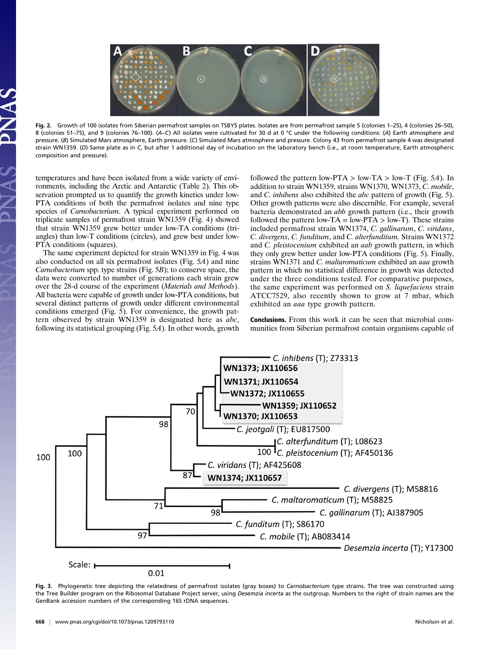

Fig. 2. Growth of 100 isolates from Siberian permafrost samples on TSBYS plates. Isolates are from permafrost sample 5 (colonies 1–25), 4 (colonies 26–50), 8 (colonies 51–75), and 9 (colonies 76–100). (A–C) All isolates were cultivated for 30 d at 0 °C under the following conditions: (A) Earth atmosphere and pressure. (B) Simulated Mars atmosphere, Earth pressure. (C) Simulated Mars atmosphere and pressure. Colony 43 from permafrost sample 4 was designated strain WN1359. (D) Same plate as in C, but after 1 additional day of incubation on the laboratory bench (i.e., at room temperature, Earth atmospheric composition and pressure).

temperatures and have been isolated from a wide variety of environments, including the Arctic and Antarctic (Table 2). This observation prompted us to quantify the growth kinetics under low-PTA conditions of both the permafrost isolates and nine type species of *Carnobacterium*. A typical experiment performed on triplicate samples of permafrost strain WN1359 (Fig. 4) showed that strain WN1359 grew better under low-TA conditions (triangles) than low-T conditions (circles), and grew best under low-PTA conditions (squares).

The same experiment depicted for strain WN1359 in Fig. 4 was also conducted on all six permafrost isolates (Fig. 5A) and nine Carnobacterium spp. type strains (Fig. 5B); to conserve space, the data were converted to number of generations each strain grew over the 28-d course of the experiment (Materials and Methods). All bacteria were capable of growth under low-PTA conditions, but several distinct patterns of growth under different environmental conditions emerged (Fig. 5). For convenience, the growth pattern observed by strain WN1359 is designated here as abc, following its statistical grouping (Fig. 5A). In other words, growth followed the pattern low-PTA  $>$  low-TA  $>$  low-T (Fig. 5A). In addition to strain WN1359, strains WN1370, WN1373, C. mobile, and C. inhibens also exhibited the abc pattern of growth (Fig. 5). Other growth patterns were also discernible. For example, several bacteria demonstrated an abb growth pattern (i.e., their growth followed the pattern low- $TA = low-PTA > low-T$ ). These strains included permafrost strain WN1374, C. gallinarum, C. viridans, C. divergens, C. funditum, and C. alterfunditum. Strains WN1372 and C. pleistocenium exhibited an aab growth pattern, in which they only grew better under low-PTA conditions (Fig. 5). Finally, strains WN1371 and C. maltaromaticum exhibited an aaa growth pattern in which no statistical difference in growth was detected under the three conditions tested. For comparative purposes, the same experiment was performed on S. liquefaciens strain ATCC7529, also recently shown to grow at 7 mbar, which exhibited an *aaa* type growth pattern.

Conclusions. From this work it can be seen that microbial communities from Siberian permafrost contain organisms capable of



Fig. 3. Phylogenetic tree depicting the relatedness of permafrost isolates (gray boxes) to Carnobacterium type strains. The tree was constructed using the Tree Builder program on the Ribosomal Database Project server, using Desemzia incerta as the outgroup. Numbers to the right of strain names are the GenBank accession numbers of the corresponding 16S rDNA sequences.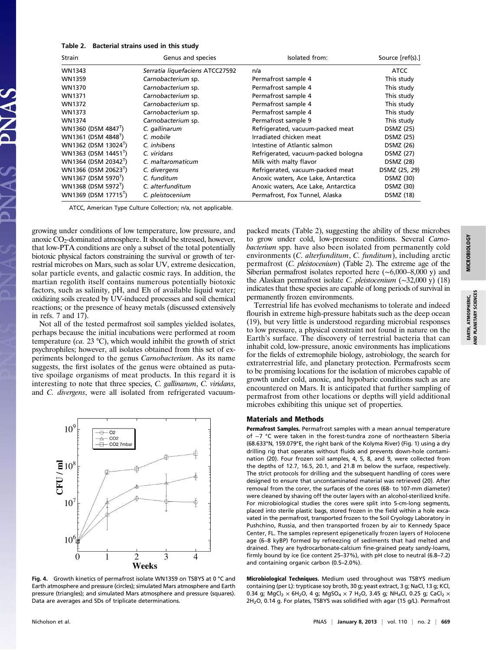## Table 2. Bacterial strains used in this study

| <b>Strain</b>                    | Genus and species               | Isolated from:                      | Source [ref(s).] |  |
|----------------------------------|---------------------------------|-------------------------------------|------------------|--|
| WN1343                           | Serratia liquefaciens ATCC27592 | n/a                                 | ATCC             |  |
| WN1359                           | Carnobacterium sp.              | Permafrost sample 4                 | This study       |  |
| WN1370                           | Carnobacterium sp.              | Permafrost sample 4                 | This study       |  |
| WN1371                           | Carnobacterium sp.              | Permafrost sample 4                 | This study       |  |
| WN1372                           | Carnobacterium sp.              | Permafrost sample 4                 | This study       |  |
| WN1373                           | Carnobacterium sp.              | Permafrost sample 4                 | This study       |  |
| WN1374                           | Carnobacterium sp.              | Permafrost sample 9                 | This study       |  |
| WN1360 (DSM 4847 <sup>1</sup> )  | C. gallinarum                   | Refrigerated, vacuum-packed meat    | DSMZ (25)        |  |
| WN1361 (DSM 4848 <sup>T</sup> )  | C. mobile                       | Irradiated chicken meat             | DSMZ (25)        |  |
| WN1362 (DSM 13024 <sup>T</sup> ) | C. inhibens                     | Intestine of Atlantic salmon        | DSMZ (26)        |  |
| WN1363 (DSM 14451 <sup>1</sup> ) | C. viridans                     | Refrigerated, vacuum-packed bologna | DSMZ (27)        |  |
| WN1364 (DSM 20342 <sup>1</sup> ) | C. maltaromaticum               | Milk with malty flavor              | DSMZ (28)        |  |
| WN1366 (DSM 20623 <sup>T</sup> ) | C. divergens                    | Refrigerated, vacuum-packed meat    | DSMZ (25, 29)    |  |
| WN1367 (DSM 5970 <sup>1</sup> )  | C. funditum                     | Anoxic waters, Ace Lake, Antarctica | DSMZ (30)        |  |
| WN1368 (DSM 5972 <sup>T</sup> )  | C. alterfunditum                | Anoxic waters, Ace Lake, Antarctica | DSMZ (30)        |  |
| WN1369 (DSM 17715 <sup>T</sup> ) | C. pleistocenium                | Permafrost, Fox Tunnel, Alaska      | <b>DSMZ (18)</b> |  |

ATCC, American Type Culture Collection; n/a, not applicable.

growing under conditions of low temperature, low pressure, and anoxic CO<sub>2</sub>-dominated atmosphere. It should be stressed, however, that low-PTA conditions are only a subset of the total potentially biotoxic physical factors constraining the survival or growth of terrestrial microbes on Mars, such as solar UV, extreme desiccation, solar particle events, and galactic cosmic rays. In addition, the martian regolith itself contains numerous potentially biotoxic factors, such as salinity, pH, and Eh of available liquid water; oxidizing soils created by UV-induced processes and soil chemical reactions; or the presence of heavy metals (discussed extensively in refs. 7 and 17).

Not all of the tested permafrost soil samples yielded isolates, perhaps because the initial incubations were performed at room temperature (ca. 23 °C), which would inhibit the growth of strict psychrophiles; however, all isolates obtained from this set of experiments belonged to the genus Carnobacterium. As its name suggests, the first isolates of the genus were obtained as putative spoilage organisms of meat products. In this regard it is interesting to note that three species, C. gallinarum, C. viridans, and C. divergens, were all isolated from refrigerated vacuum-



Fig. 4. Growth kinetics of permafrost isolate WN1359 on TSBYS at 0 °C and Earth atmosphere and pressure (circles); simulated Mars atmosphere and Earth pressure (triangles); and simulated Mars atmosphere and pressure (squares). Data are averages and SDs of triplicate determinations.

packed meats (Table 2), suggesting the ability of these microbes to grow under cold, low-pressure conditions. Several Carnobacterium spp. have also been isolated from permanently cold environments (C. alterfunditum, C. funditum), including arctic permafrost (C. pleistocenium) (Table 2). The extreme age of the Siberian permafrost isolates reported here (∼6,000–8,000 y) and the Alaskan permafrost isolate C. pleistocenium (∼32,000 y) (18) indicates that these species are capable of long periods of survival in permanently frozen environments.

Terrestrial life has evolved mechanisms to tolerate and indeed flourish in extreme high-pressure habitats such as the deep ocean (19), but very little is understood regarding microbial responses to low pressure, a physical constraint not found in nature on the Earth's surface. The discovery of terrestrial bacteria that can inhabit cold, low-pressure, anoxic environments has implications for the fields of extremophile biology, astrobiology, the search for extraterrestrial life, and planetary protection. Permafrosts seem to be promising locations for the isolation of microbes capable of growth under cold, anoxic, and hypobaric conditions such as are encountered on Mars. It is anticipated that further sampling of permafrost from other locations or depths will yield additional microbes exhibiting this unique set of properties.

#### Materials and Methods

Permafrost Samples. Permafrost samples with a mean annual temperature of −7 °C were taken in the forest-tundra zone of northeastern Siberia (68.633°N, 159.079°E, the right bank of the Kolyma River) (Fig. 1) using a dry drilling rig that operates without fluids and prevents down-hole contamination (20). Four frozen soil samples, 4, 5, 8, and 9, were collected from the depths of 12.7, 16.5, 20.1, and 21.8 m below the surface, respectively. The strict protocols for drilling and the subsequent handling of cores were designed to ensure that uncontaminated material was retrieved (20). After removal from the corer, the surfaces of the cores (68- to 107-mm diameter) were cleaned by shaving off the outer layers with an alcohol-sterilized knife. For microbiological studies the cores were split into 5-cm-long segments, placed into sterile plastic bags, stored frozen in the field within a hole excavated in the permafrost, transported frozen to the Soil Cryology Laboratory in Pushchino, Russia, and then transported frozen by air to Kennedy Space Center, FL. The samples represent epigenetically frozen layers of Holocene age (6–8 kyBP) formed by refreezing of sediments that had melted and drained. They are hydrocarbonate-calcium fine-grained peaty sandy-loams, firmly bound by ice (ice content 25–37%), with pH close to neutral (6.8–7.2) and containing organic carbon (0.5–2.0%).

Microbiological Techniques. Medium used throughout was TSBYS medium containing (per L): trypticase soy broth, 30 g; yeast extract, 3 g; NaCl, 13 g; KCl, 0.34 g; MgCl<sub>2</sub>  $\times$  6H<sub>2</sub>O, 4 g; MgSO<sub>4</sub>  $\times$  7 H<sub>2</sub>O, 3.45 g; NH<sub>4</sub>Cl, 0.25 g; CaCl<sub>2</sub>  $\times$  $2H<sub>2</sub>O$ , 0.14 g. For plates, TSBYS was solidified with agar (15 g/L). Permafrost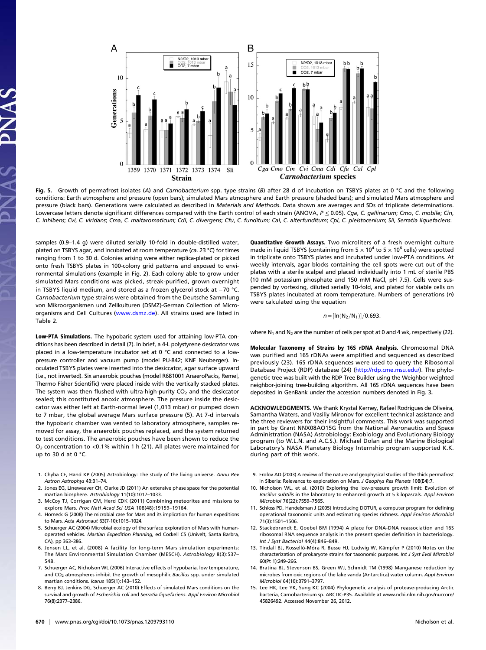

Fig. 5. Growth of permafrost isolates (A) and Carnobacterium spp. type strains (B) after 28 d of incubation on TSBYS plates at 0 °C and the following conditions: Earth atmosphere and pressure (open bars); simulated Mars atmosphere and Earth pressure (shaded bars); and simulated Mars atmosphere and pressure (black bars). Generations were calculated as described in Materials and Methods. Data shown are averages and SDs of triplicate determinations. .<br>Lowercase letters denote significant differences compared with the Earth control of each strain (ANOVA, P ≤ 0.05). Cga, C. gallinarum; Cmo, C. mobile; Cin, C. inhibens; Cvi, C. viridans; Cma, C. maltaromaticum; Cdi, C. divergens; Cfu, C. funditum; Cal, C. alterfunditum; Cpl, C. pleistocenium; Sli, Serratia liquefaciens.

samples (0.9–1.4 g) were diluted serially 10-fold in double-distilled water, plated on TSBYS agar, and incubated at room temperature (ca. 23 °C) for times ranging from 1 to 30 d. Colonies arising were either replica-plated or picked onto fresh TSBYS plates in 100-colony grid patterns and exposed to environmental simulations (example in Fig. 2). Each colony able to grow under simulated Mars conditions was picked, streak-purified, grown overnight in TSBYS liquid medium, and stored as a frozen glycerol stock at −70 °C. Carnobacterium type strains were obtained from the Deutsche Sammlung von Mikroorganismen und Zellkulturen (DSMZ)-German Collection of Microorganisms and Cell Cultures ([www.dsmz.de\)](http://www.dsmz.de). All strains used are listed in Table 2.

Low-PTA Simulations. The hypobaric system used for attaining low-PTA conditions has been described in detail (7). In brief, a 4-L polystyrene desiccator was placed in a low-temperature incubator set at 0 °C and connected to a lowpressure controller and vacuum pump (model PU-842; KNF Neuberger). Inoculated TSBYS plates were inserted into the desiccator, agar surface upward (i.e., not inverted). Six anaerobic pouches (model R681001 AnaeroPacks, Remel, Thermo Fisher Scientific) were placed inside with the vertically stacked plates. The system was then flushed with ultra-high-purity  $CO<sub>2</sub>$  and the desiccator sealed; this constituted anoxic atmosphere. The pressure inside the desiccator was either left at Earth-normal level (1,013 mbar) or pumped down to 7 mbar, the global average Mars surface pressure (5). At 7-d intervals the hypobaric chamber was vented to laboratory atmosphere, samples removed for assay, the anaerobic pouches replaced, and the system returned to test conditions. The anaerobic pouches have been shown to reduce the O<sub>2</sub> concentration to <0.1% within 1 h (21). All plates were maintained for up to 30 d at 0 °C.

- 1. Chyba CF, Hand KP (2005) Astrobiology: The study of the living universe. Annu Rev Astron Astrophys 43:31–74.
- 2. Jones EG, Lineweaver CH, Clarke JD (2011) An extensive phase space for the potential martian biosphere. Astrobiology 11(10):1017–1033.
- 3. McCoy TJ, Corrigan CM, Herd CDK (2011) Combining meteorites and missions to explore Mars. Proc Natl Acad Sci USA 108(48):19159–19164.
- 4. Horneck G (2008) The microbial case for Mars and its implication for human expeditions to Mars. Acta Astronaut 63(7-10):1015–1024.
- 5. Schuerger AC (2004) Microbial ecology of the surface exploration of Mars with humanoperated vehicles. Martian Expedition Planning, ed Cockell CS (Univelt, Santa Barbra, CA), pp 363–386.
- 6. Jensen LL, et al. (2008) A facility for long-term Mars simulation experiments: The Mars Environmental Simulation Chamber (MESCH). Astrobiology 8(3):537– 548.
- 7. Schuerger AC, Nicholson WL (2006) Interactive effects of hypobaria, low temperature, and  $CO<sub>2</sub>$  atmospheres inhibit the growth of mesophilic Bacillus spp. under simulated martian conditions. Icarus 185(1):143–152.
- 8. Berry BJ, Jenkins DG, Schuerger AC (2010) Effects of simulated Mars conditions on the survival and growth of Escherichia coli and Serratia liquefaciens. Appl Environ Microbiol 76(8):2377–2386.

Quantitative Growth Assays. Two microliters of a fresh overnight culture made in liquid TSBYS (containing from  $5 \times 10^4$  to  $5 \times 10^6$  cells) were spotted in triplicate onto TSBYS plates and incubated under low-PTA conditions. At weekly intervals, agar blocks containing the cell spots were cut out of the plates with a sterile scalpel and placed individually into 1 mL of sterile PBS (10 mM potassium phosphate and 150 mM NaCl, pH 7.5). Cells were suspended by vortexing, diluted serially 10-fold, and plated for viable cells on TSBYS plates incubated at room temperature. Numbers of generations (n) were calculated using the equation

$$
\textit{n}=[ln(N_2/N_1)]/0.693,
$$

where  $N_1$  and  $N_2$  are the number of cells per spot at 0 and 4 wk, respectively (22).

Molecular Taxonomy of Strains by 16S rDNA Analysis. Chromosomal DNA was purified and 16S rDNAs were amplified and sequenced as described previously (23). 16S rDNA sequences were used to query the Ribosomal Database Project (RDP) database (24) ([http://rdp.cme.msu.edu/\)](http://rdp.cme.msu.edu/). The phylogenetic tree was built with the RDP Tree Builder using the Weighbor weighted neighbor-joining tree-building algorithm. All 16S rDNA sequences have been deposited in GenBank under the accession numbers denoted in Fig. 3.

ACKNOWLEDGMENTS. We thank Krystal Kerney, Rafael Rodrigues de Oliveira, Samantha Waters, and Vasiliy Mironov for excellent technical assistance and the three reviewers for their insightful comments. This work was supported in part by Grant NNX08AO15G from the National Aeronautics and Space Administration (NASA) Astrobiology: Exobiology and Evolutionary Biology program (to W.L.N. and A.C.S.). Michael Dolan and the Marine Biological Laboratory's NASA Planetary Biology Internship program supported K.K. during part of this work.

- 9. Frolov AD (2003) A review of the nature and geophysical studies of the thick permafrost in Siberia: Relevance to exploration on Mars. J Geophys Res Planets 108(E4):7.
- 10. Nicholson WL, et al. (2010) Exploring the low-pressure growth limit: Evolution of Bacillus subtilis in the laboratory to enhanced growth at 5 kilopascals. Appl Environ Microbiol 76(22):7559–7565.
- 11. Schloss PD, Handelsman J (2005) Introducing DOTUR, a computer program for defining operational taxonomic units and estimating species richness. Appl Environ Microbiol 71(3):1501–1506.
- 12. Stackebrandt E, Goebel BM (1994) A place for DNA-DNA reassociation and 16S ribosomal RNA sequence analysis in the present species definition in bacteriology. Int J Syst Bacteriol 44(4):846–849.
- 13. Tindall BJ, Rosselló-Móra R, Busse HJ, Ludwig W, Kämpfer P (2010) Notes on the characterization of prokaryote strains for taxonomic purposes. Int J Syst Evol Microbiol 60(Pt 1):249–266.
- 14. Bratina BJ, Stevenson BS, Green WJ, Schmidt TM (1998) Manganese reduction by microbes from oxic regions of the lake vanda (Antarctica) water column. Appl Environ Microbiol 64(10):3791–3797.
- 15. Lee HK, Lee YK, Sung KC (2004) Phylogenetic analysis of protease-producing Arctic bacteria, Carnobacterium sp. ARCTIC-P35. Available at [www.ncbi.nlm.nih.gov/nuccore/](http://www.ncbi.nlm.nih.gov/nuccore/45826492) [45826492.](http://www.ncbi.nlm.nih.gov/nuccore/45826492) Accessed November 26, 2012.